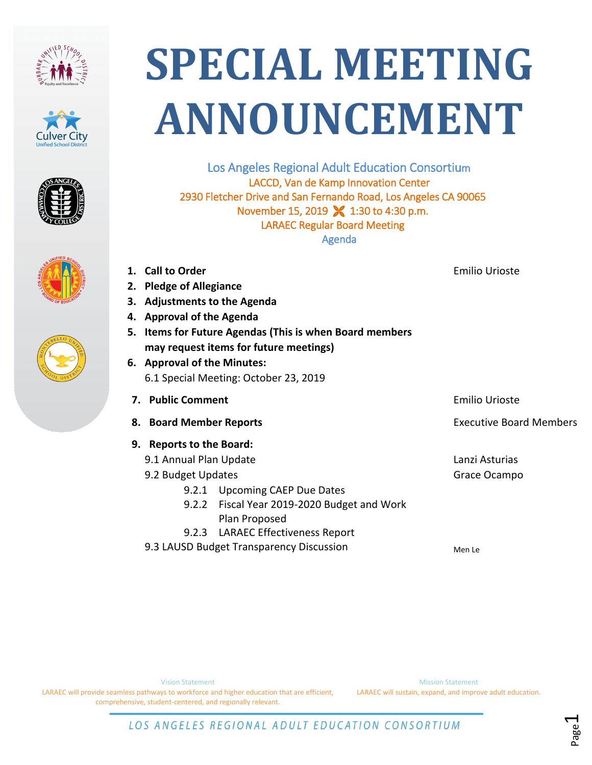









## **SPECIAL MEETING ANNOUNCEMENT**

Los Angeles Regional Adult Education Consortium LACCD, Van de Kamp Innovation Center 2930 Fletcher Drive and San Fernando Road, Los Angeles CA 90065 November 15, 2019 **X** 1:30 to 4:30 p.m. LARAEC Regular Board Meeting Agenda

**2. Pledge of Allegiance 3. Adjustments to the Agenda 4. Approval of the Agenda 5. Items for Future Agendas (This is when Board members may request items for future meetings) 6. Approval of the Minutes:** 6.1 Special Meeting: October 23, 2019 **7.** Public Comment **Emilio Urioste** Emilio Urioste **8. Board Member Reports Executive Board Members Board Members 9. Reports to the Board:** 9.1 Annual Plan Update 9.2 Budget Updates 9.2.1 Upcoming CAEP Due Dates 9.2.2 Fiscal Year 2019-2020 Budget and Work Plan Proposed 9.2.3 LARAEC Effectiveness Report 9.3 LAUSD Budget Transparency Discussion Lanzi Asturias Grace Ocampo Men Le

**1. Call to Order**

LARAEC will provide seamless pathways to workforce and higher education that are efficient, comprehensive, student-centered, and regionally relevant.

Mission Statement LARAEC will sustain, expand, and improve adult education.

Emilio Urioste